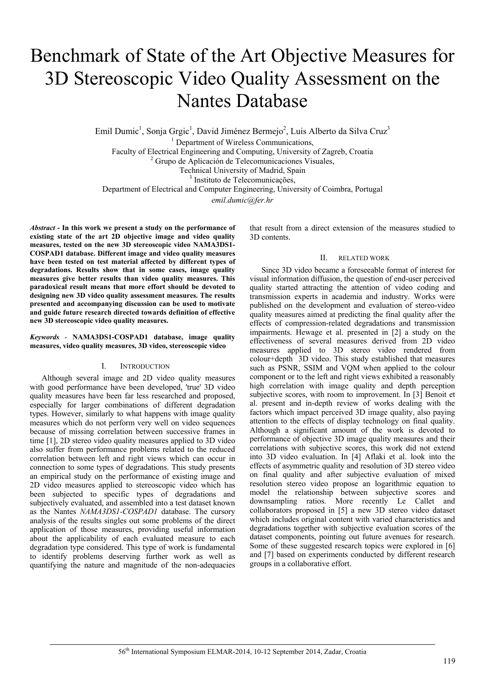# Benchmark of State of the Art Objective Measures for 3D Stereoscopic Video Quality Assessment on the Nantes Database

Emil Dumic<sup>1</sup>, Sonja Grgic<sup>1</sup>, David Jiménez Bermejo<sup>2</sup>, Luis Alberto da Silva Cruz<sup>3</sup>

<sup>1</sup> Department of Wireless Communications,

Faculty of Electrical Engineering and Computing, University of Zagreb, Croatia 2

 $^{2}$  Grupo de Aplicación de Telecomunicaciones Visuales,

Technical University of Madrid, Spain 3

<sup>3</sup> Instituto de Telecomunicações,

Department of Electrical and Computer Engineering, University of Coimbra, Portugal

*emil.dumic@fer.hr* 

*Abstract* **- In this work we present a study on the performance of existing state of the art 2D objective image and video quality measures, tested on the new 3D stereoscopic video NAMA3DS1- COSPAD1 database. Different image and video quality measures have been tested on test material affected by different types of degradations. Results show that in some cases, image quality measures give better results than video quality measures. This paradoxical result means that more effort should be devoted to designing new 3D video quality assessment measures. The results presented and accompanying discussion can be used to motivate and guide future research directed towards definition of effective new 3D stereoscopic video quality measures.** 

## *Keywords* - **NAMA3DS1-COSPAD1 database, image quality measures, video quality measures, 3D video, stereoscopic video**

## I. INTRODUCTION

Although several image and 2D video quality measures with good performance have been developed, 'true' 3D video quality measures have been far less researched and proposed, especially for larger combinations of different degradation types. However, similarly to what happens with image quality measures which do not perform very well on video sequences because of missing correlation between successive frames in time [1], 2D stereo video quality measures applied to 3D video also suffer from performance problems related to the reduced correlation between left and right views which can occur in connection to some types of degradations. This study presents an empirical study on the performance of existing image and 2D video measures applied to stereoscopic video which has been subjected to specific types of degradations and subjectively evaluated, and assembled into a test dataset known as the Nantes *NAMA3DS1-COSPAD1* database. The cursory analysis of the results singles out some problems of the direct application of those measures, providing useful information about the applicability of each evaluated measure to each degradation type considered. This type of work is fundamental to identify problems deserving further work as well as quantifying the nature and magnitude of the non-adequacies

that result from a direct extension of the measures studied to 3D contents.

## II. RELATED WORK

Since 3D video became a foreseeable format of interest for visual information diffusion, the question of end-user perceived quality started attracting the attention of video coding and transmission experts in academia and industry. Works were published on the development and evaluation of stereo-video quality measures aimed at predicting the final quality after the effects of compression-related degradations and transmission impairments. Hewage et al. presented in [2] a study on the effectiveness of several measures derived from 2D video measures applied to 3D stereo video rendered from colour+depth 3D video. This study established that measures such as PSNR, SSIM and VQM when applied to the colour component or to the left and right views exhibited a reasonably high correlation with image quality and depth perception subjective scores, with room to improvement. In [3] Benoit et al. present and in-depth review of works dealing with the factors which impact perceived 3D image quality, also paying attention to the effects of display technology on final quality. Although a significant amount of the work is devoted to performance of objective 3D image quality measures and their correlations with subjective scores, this work did not extend into 3D video evaluation. In [4] Aflaki et al. look into the effects of asymmetric quality and resolution of 3D stereo video on final quality and after subjective evaluation of mixed resolution stereo video propose an logarithmic equation to model the relationship between subjective scores and downsampling ratios. More recently Le Callet and collaborators proposed in [5] a new 3D stereo video dataset which includes original content with varied characteristics and degradations together with subjective evaluation scores of the dataset components, pointing out future avenues for research. Some of these suggested research topics were explored in [6] and [7] based on experiments conducted by different research groups in a collaborative effort.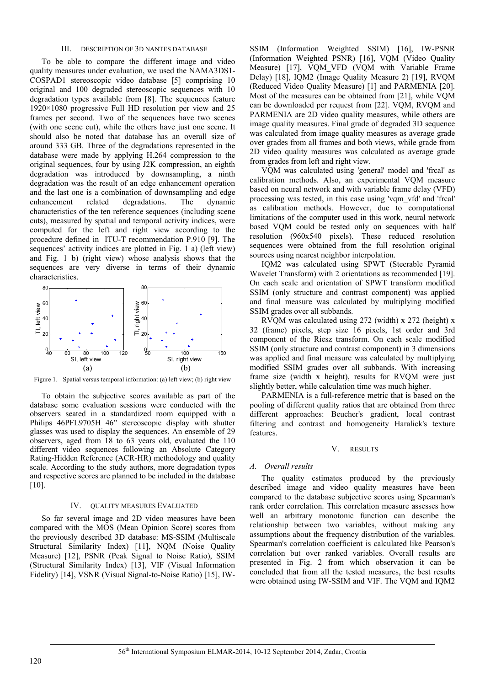## III. DESCRIPTION OF 3D NANTES DATABASE

To be able to compare the different image and video quality measures under evaluation, we used the NAMA3DS1- COSPAD1 stereoscopic video database [5] comprising 10 original and 100 degraded stereoscopic sequences with 10 degradation types available from [8]. The sequences feature 1920×1080 progressive Full HD resolution per view and 25 frames per second. Two of the sequences have two scenes (with one scene cut), while the others have just one scene. It should also be noted that database has an overall size of around 333 GB. Three of the degradations represented in the database were made by applying H.264 compression to the original sequences, four by using J2K compression, an eighth degradation was introduced by downsampling, a ninth degradation was the result of an edge enhancement operation and the last one is a combination of downsampling and edge enhancement related degradations. The dynamic characteristics of the ten reference sequences (including scene cuts), measured by spatial and temporal activity indices, were computed for the left and right view according to the procedure defined in ITU-T recommendation P.910 [9]. The sequences' activity indices are plotted in Fig. 1 a) (left view) and Fig. 1 b) (right view) whose analysis shows that the sequences are very diverse in terms of their dynamic characteristics.



Figure 1. Spatial versus temporal information: (a) left view; (b) right view

To obtain the subjective scores available as part of the database some evaluation sessions were conducted with the observers seated in a standardized room equipped with a Philips 46PFL9705H 46" stereoscopic display with shutter glasses was used to display the sequences. An ensemble of 29 observers, aged from 18 to 63 years old, evaluated the 110 different video sequences following an Absolute Category Rating-Hidden Reference (ACR-HR) methodology and quality scale. According to the study authors, more degradation types and respective scores are planned to be included in the database [10].

### IV. QUALITY MEASURES EVALUATED

So far several image and 2D video measures have been compared with the MOS (Mean Opinion Score) scores from the previously described 3D database: MS-SSIM (Multiscale Structural Similarity Index) [11], NQM (Noise Quality Measure) [12], PSNR (Peak Signal to Noise Ratio), SSIM (Structural Similarity Index) [13], VIF (Visual Information Fidelity) [14], VSNR (Visual Signal-to-Noise Ratio) [15], IW-

SSIM (Information Weighted SSIM) [16], IW-PSNR (Information Weighted PSNR) [16], VQM (Video Quality Measure) [17], VOM VFD (VOM with Variable Frame Delay) [18], IQM2 (Image Quality Measure 2) [19], RVQM (Reduced Video Quality Measure) [1] and PARMENIA [20]. Most of the measures can be obtained from [21], while VQM can be downloaded per request from [22]. VQM, RVQM and PARMENIA are 2D video quality measures, while others are image quality measures. Final grade of degraded 3D sequence was calculated from image quality measures as average grade over grades from all frames and both views, while grade from 2D video quality measures was calculated as average grade from grades from left and right view.

VQM was calculated using 'general' model and 'frcal' as calibration methods. Also, an experimental VQM measure based on neural network and with variable frame delay (VFD) processing was tested, in this case using 'vqm\_vfd' and 'frcal' as calibration methods. However, due to computational limitations of the computer used in this work, neural network based VQM could be tested only on sequences with half resolution (960x540 pixels). These reduced resolution sequences were obtained from the full resolution original sources using nearest neighbor interpolation.

IQM2 was calculated using SPWT (Steerable Pyramid Wavelet Transform) with 2 orientations as recommended [19]. On each scale and orientation of SPWT transform modified SSIM (only structure and contrast component) was applied and final measure was calculated by multiplying modified SSIM grades over all subbands.

RVQM was calculated using 272 (width) x 272 (height) x 32 (frame) pixels, step size 16 pixels, 1st order and 3rd component of the Riesz transform. On each scale modified SSIM (only structure and contrast component) in 3 dimensions was applied and final measure was calculated by multiplying modified SSIM grades over all subbands. With increasing frame size (width x height), results for RVQM were just slightly better, while calculation time was much higher.

PARMENIA is a full-reference metric that is based on the pooling of different quality ratios that are obtained from three different approaches: Beucher's gradient, local contrast filtering and contrast and homogeneity Haralick's texture features.

#### V. RESULTS

#### *A. Overall results*

The quality estimates produced by the previously described image and video quality measures have been compared to the database subjective scores using Spearman's rank order correlation. This correlation measure assesses how well an arbitrary monotonic function can describe the relationship between two variables, without making any assumptions about the frequency distribution of the variables. Spearman's correlation coefficient is calculated like Pearson's correlation but over ranked variables. Overall results are presented in Fig. 2 from which observation it can be concluded that from all the tested measures, the best results were obtained using IW-SSIM and VIF. The VQM and IQM2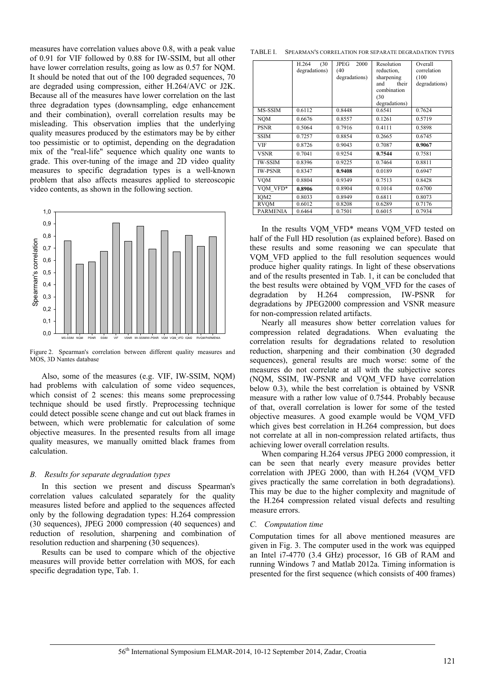measures have correlation values above 0.8, with a peak value of 0.91 for VIF followed by 0.88 for IW-SSIM, but all other have lower correlation results, going as low as 0.57 for NQM. It should be noted that out of the 100 degraded sequences, 70 are degraded using compression, either H.264/AVC or J2K. Because all of the measures have lower correlation on the last three degradation types (downsampling, edge enhancement and their combination), overall correlation results may be misleading. This observation implies that the underlying quality measures produced by the estimators may be by either too pessimistic or to optimist, depending on the degradation mix of the "real-life" sequence which quality one wants to grade. This over-tuning of the image and 2D video quality measures to specific degradation types is a well-known problem that also affects measures applied to stereoscopic video contents, as shown in the following section.



Figure 2. Spearman's correlation between different quality measures and MOS, 3D Nantes database

Also, some of the measures (e.g. VIF, IW-SSIM, NQM) had problems with calculation of some video sequences, which consist of 2 scenes: this means some preprocessing technique should be used firstly. Preprocessing technique could detect possible scene change and cut out black frames in between, which were problematic for calculation of some objective measures. In the presented results from all image quality measures, we manually omitted black frames from calculation.

## *B. Results for separate degradation types*

In this section we present and discuss Spearman's correlation values calculated separately for the quality measures listed before and applied to the sequences affected only by the following degradation types: H.264 compression (30 sequences), JPEG 2000 compression (40 sequences) and reduction of resolution, sharpening and combination of resolution reduction and sharpening (30 sequences).

Results can be used to compare which of the objective measures will provide better correlation with MOS, for each specific degradation type, Tab. 1.

TABLE I. SPEARMAN'S CORRELATION FOR SEPARATE DEGRADATION TYPES

|                  | (30)<br>H.264<br>degradations) | <b>JPEG</b><br>2000<br>(40)<br>degradations) | Resolution<br>reduction,<br>sharpening<br>their<br>and<br>combination<br>(30)<br>degradations) | Overall<br>correlation<br>(100)<br>degradations) |
|------------------|--------------------------------|----------------------------------------------|------------------------------------------------------------------------------------------------|--------------------------------------------------|
| MS-SSIM          | 0.6112                         | 0.8448                                       | 0.6541                                                                                         | 0.7624                                           |
| <b>NQM</b>       | 0.6676                         | 0.8557                                       | 0.1261                                                                                         | 0.5719                                           |
| <b>PSNR</b>      | 0.5064                         | 0.7916                                       | 0.4111                                                                                         | 0.5898                                           |
| <b>SSIM</b>      | 0.7257                         | 0.8854                                       | 0.2665                                                                                         | 0.6745                                           |
| VIF              | 0.8726                         | 0.9043                                       | 0.7087                                                                                         | 0.9067                                           |
| <b>VSNR</b>      | 0.7041                         | 0.9254                                       | 0.7544                                                                                         | 0.7581                                           |
| <b>IW-SSIM</b>   | 0.8396                         | 0.9225                                       | 0.7464                                                                                         | 0.8811                                           |
| <b>IW-PSNR</b>   | 0.8347                         | 0.9408                                       | 0.0189                                                                                         | 0.6947                                           |
| VOM              | 0.8804                         | 0.9349                                       | 0.7513                                                                                         | 0.8428                                           |
| VOM VFD*         | 0.8906                         | 0.8904                                       | 0.1014                                                                                         | 0.6700                                           |
| IOM <sub>2</sub> | 0.8033                         | 0.8949                                       | 0.6811                                                                                         | 0.8073                                           |
| RVOM             | 0.6012                         | 0.8208                                       | 0.6289                                                                                         | 0.7176                                           |
| <b>PARMENIA</b>  | 0.6464                         | 0.7501                                       | 0.6015                                                                                         | 0.7934                                           |

In the results VOM VFD<sup>\*</sup> means VOM VFD tested on half of the Full HD resolution (as explained before). Based on these results and some reasoning we can speculate that VQM\_VFD applied to the full resolution sequences would produce higher quality ratings. In light of these observations and of the results presented in Tab. 1, it can be concluded that the best results were obtained by VQM\_VFD for the cases of degradation by H.264 compression, IW-PSNR for degradations by JPEG2000 compression and VSNR measure for non-compression related artifacts.

Nearly all measures show better correlation values for compression related degradations. When evaluating the correlation results for degradations related to resolution reduction, sharpening and their combination (30 degraded sequences), general results are much worse: some of the measures do not correlate at all with the subjective scores (NQM, SSIM, IW-PSNR and VQM\_VFD have correlation below 0.3), while the best correlation is obtained by VSNR measure with a rather low value of 0.7544. Probably because of that, overall correlation is lower for some of the tested objective measures. A good example would be VQM\_VFD which gives best correlation in H.264 compression, but does not correlate at all in non-compression related artifacts, thus achieving lower overall correlation results.

When comparing H.264 versus JPEG 2000 compression, it can be seen that nearly every measure provides better correlation with JPEG 2000, than with H.264 (VQM\_VFD gives practically the same correlation in both degradations). This may be due to the higher complexity and magnitude of the H.264 compression related visual defects and resulting measure errors.

## *C. Computation time*

Computation times for all above mentioned measures are given in Fig. 3. The computer used in the work was equipped an Intel i7-4770 (3.4 GHz) processor, 16 GB of RAM and running Windows 7 and Matlab 2012a. Timing information is presented for the first sequence (which consists of 400 frames)